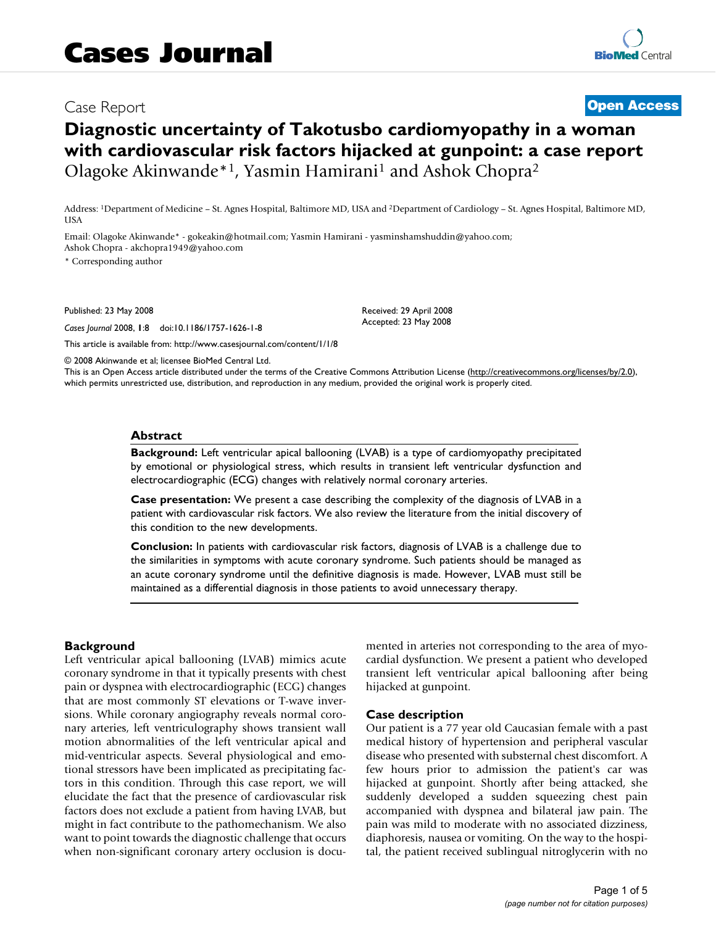# Case Report **[Open Access](http://www.biomedcentral.com/info/about/charter/)**

# **Diagnostic uncertainty of Takotusbo cardiomyopathy in a woman with cardiovascular risk factors hijacked at gunpoint: a case report** Olagoke Akinwande\*1, Yasmin Hamirani1 and Ashok Chopra2

Address: 1Department of Medicine – St. Agnes Hospital, Baltimore MD, USA and 2Department of Cardiology – St. Agnes Hospital, Baltimore MD, **IISA** 

Email: Olagoke Akinwande\* - gokeakin@hotmail.com; Yasmin Hamirani - yasminshamshuddin@yahoo.com; Ashok Chopra - akchopra1949@yahoo.com

\* Corresponding author

Published: 23 May 2008

*Cases Journal* 2008, **1**:8 doi:10.1186/1757-1626-1-8

[This article is available from: http://www.casesjournal.com/content/1/1/8](http://www.casesjournal.com/content/1/1/8)

© 2008 Akinwande et al; licensee BioMed Central Ltd.

This is an Open Access article distributed under the terms of the Creative Commons Attribution License [\(http://creativecommons.org/licenses/by/2.0\)](http://creativecommons.org/licenses/by/2.0), which permits unrestricted use, distribution, and reproduction in any medium, provided the original work is properly cited.

Received: 29 April 2008 Accepted: 23 May 2008

#### **Abstract**

**Background:** Left ventricular apical ballooning (LVAB) is a type of cardiomyopathy precipitated by emotional or physiological stress, which results in transient left ventricular dysfunction and electrocardiographic (ECG) changes with relatively normal coronary arteries.

**Case presentation:** We present a case describing the complexity of the diagnosis of LVAB in a patient with cardiovascular risk factors. We also review the literature from the initial discovery of this condition to the new developments.

**Conclusion:** In patients with cardiovascular risk factors, diagnosis of LVAB is a challenge due to the similarities in symptoms with acute coronary syndrome. Such patients should be managed as an acute coronary syndrome until the definitive diagnosis is made. However, LVAB must still be maintained as a differential diagnosis in those patients to avoid unnecessary therapy.

#### **Background**

Left ventricular apical ballooning (LVAB) mimics acute coronary syndrome in that it typically presents with chest pain or dyspnea with electrocardiographic (ECG) changes that are most commonly ST elevations or T-wave inversions. While coronary angiography reveals normal coronary arteries, left ventriculography shows transient wall motion abnormalities of the left ventricular apical and mid-ventricular aspects. Several physiological and emotional stressors have been implicated as precipitating factors in this condition. Through this case report, we will elucidate the fact that the presence of cardiovascular risk factors does not exclude a patient from having LVAB, but might in fact contribute to the pathomechanism. We also want to point towards the diagnostic challenge that occurs when non-significant coronary artery occlusion is documented in arteries not corresponding to the area of myocardial dysfunction. We present a patient who developed transient left ventricular apical ballooning after being hijacked at gunpoint.

#### **Case description**

Our patient is a 77 year old Caucasian female with a past medical history of hypertension and peripheral vascular disease who presented with substernal chest discomfort. A few hours prior to admission the patient's car was hijacked at gunpoint. Shortly after being attacked, she suddenly developed a sudden squeezing chest pain accompanied with dyspnea and bilateral jaw pain. The pain was mild to moderate with no associated dizziness, diaphoresis, nausea or vomiting. On the way to the hospital, the patient received sublingual nitroglycerin with no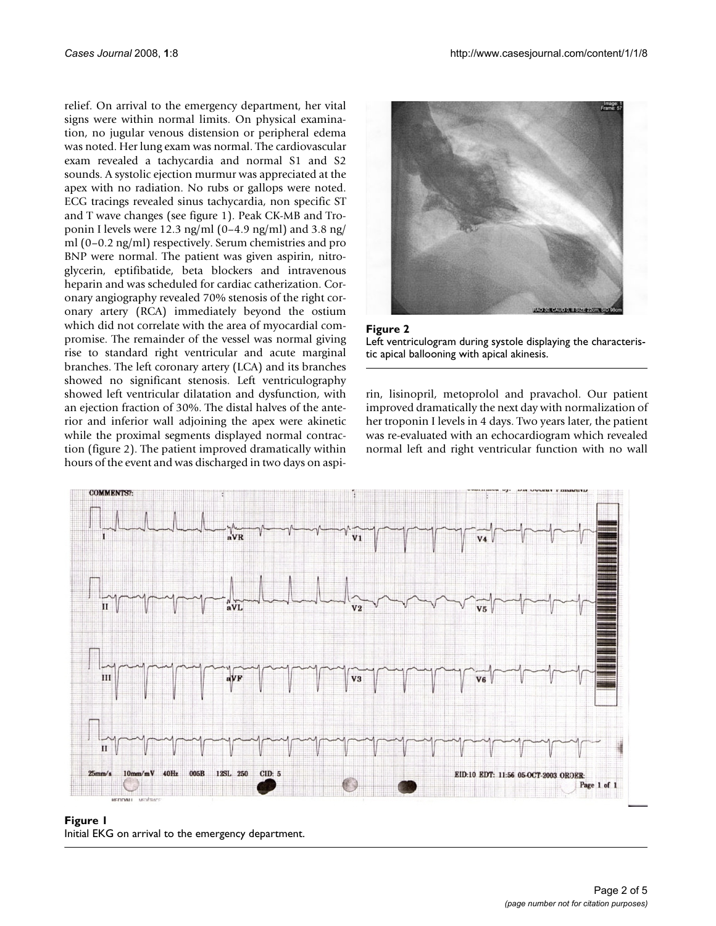relief. On arrival to the emergency department, her vital signs were within normal limits. On physical examination, no jugular venous distension or peripheral edema was noted. Her lung exam was normal. The cardiovascular exam revealed a tachycardia and normal S1 and S2 sounds. A systolic ejection murmur was appreciated at the apex with no radiation. No rubs or gallops were noted. ECG tracings revealed sinus tachycardia, non specific ST and T wave changes (see figure 1). Peak CK-MB and Troponin I levels were 12.3 ng/ml (0–4.9 ng/ml) and 3.8 ng/ ml (0–0.2 ng/ml) respectively. Serum chemistries and pro BNP were normal. The patient was given aspirin, nitroglycerin, eptifibatide, beta blockers and intravenous heparin and was scheduled for cardiac catherization. Coronary angiography revealed 70% stenosis of the right coronary artery (RCA) immediately beyond the ostium which did not correlate with the area of myocardial compromise. The remainder of the vessel was normal giving rise to standard right ventricular and acute marginal branches. The left coronary artery (LCA) and its branches showed no significant stenosis. Left ventriculography showed left ventricular dilatation and dysfunction, with an ejection fraction of 30%. The distal halves of the anterior and inferior wall adjoining the apex were akinetic while the proximal segments displayed normal contraction (figure 2). The patient improved dramatically within hours of the event and was discharged in two days on aspi-





rin, lisinopril, metoprolol and pravachol. Our patient improved dramatically the next day with normalization of her troponin I levels in 4 days. Two years later, the patient was re-evaluated with an echocardiogram which revealed normal left and right ventricular function with no wall



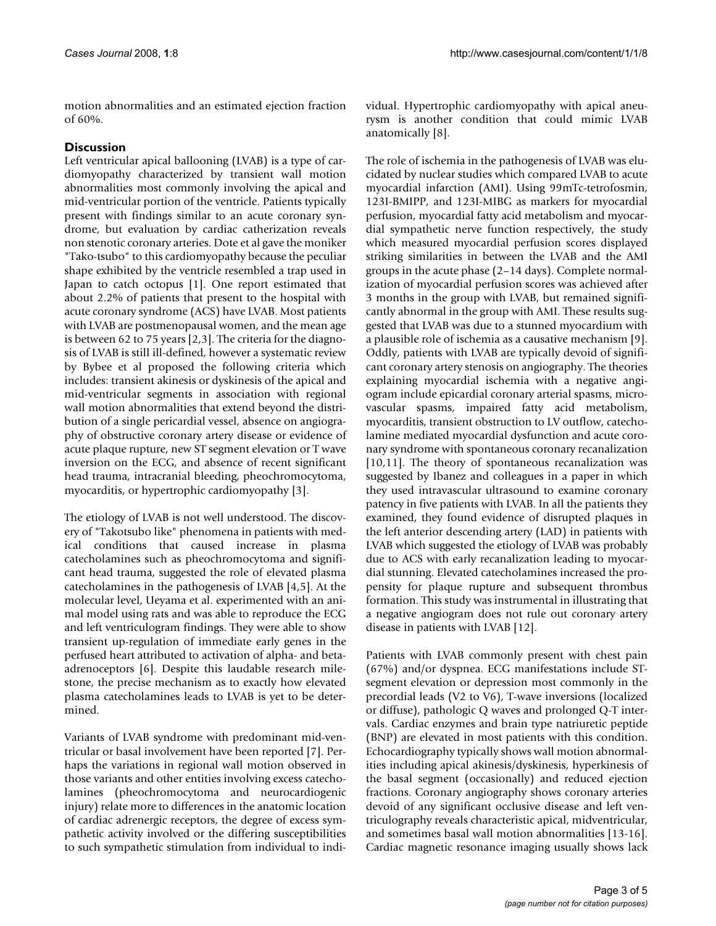motion abnormalities and an estimated ejection fraction of 60%.

# **Discussion**

Left ventricular apical ballooning (LVAB) is a type of cardiomyopathy characterized by transient wall motion abnormalities most commonly involving the apical and mid-ventricular portion of the ventricle. Patients typically present with findings similar to an acute coronary syndrome, but evaluation by cardiac catherization reveals non stenotic coronary arteries. Dote et al gave the moniker "Tako-tsubo" to this cardiomyopathy because the peculiar shape exhibited by the ventricle resembled a trap used in Japan to catch octopus [1]. One report estimated that about 2.2% of patients that present to the hospital with acute coronary syndrome (ACS) have LVAB. Most patients with LVAB are postmenopausal women, and the mean age is between 62 to 75 years [2,3]. The criteria for the diagnosis of LVAB is still ill-defined, however a systematic review by Bybee et al proposed the following criteria which includes: transient akinesis or dyskinesis of the apical and mid-ventricular segments in association with regional wall motion abnormalities that extend beyond the distribution of a single pericardial vessel, absence on angiography of obstructive coronary artery disease or evidence of acute plaque rupture, new ST segment elevation or T wave inversion on the ECG, and absence of recent significant head trauma, intracranial bleeding, pheochromocytoma, myocarditis, or hypertrophic cardiomyopathy [3].

The etiology of LVAB is not well understood. The discovery of "Takotsubo like" phenomena in patients with medical conditions that caused increase in plasma catecholamines such as pheochromocytoma and significant head trauma, suggested the role of elevated plasma catecholamines in the pathogenesis of LVAB [4,5]. At the molecular level, Ueyama et al. experimented with an animal model using rats and was able to reproduce the ECG and left ventriculogram findings. They were able to show transient up-regulation of immediate early genes in the perfused heart attributed to activation of alpha- and betaadrenoceptors [6]. Despite this laudable research milestone, the precise mechanism as to exactly how elevated plasma catecholamines leads to LVAB is yet to be determined.

Variants of LVAB syndrome with predominant mid-ventricular or basal involvement have been reported [7]. Perhaps the variations in regional wall motion observed in those variants and other entities involving excess catecholamines (pheochromocytoma and neurocardiogenic injury) relate more to differences in the anatomic location of cardiac adrenergic receptors, the degree of excess sympathetic activity involved or the differing susceptibilities to such sympathetic stimulation from individual to individual. Hypertrophic cardiomyopathy with apical aneurysm is another condition that could mimic LVAB anatomically [8].

The role of ischemia in the pathogenesis of LVAB was elucidated by nuclear studies which compared LVAB to acute myocardial infarction (AMI). Using 99mTc-tetrofosmin, 123I-BMIPP, and 123I-MIBG as markers for myocardial perfusion, myocardial fatty acid metabolism and myocardial sympathetic nerve function respectively, the study which measured myocardial perfusion scores displayed striking similarities in between the LVAB and the AMI groups in the acute phase (2–14 days). Complete normalization of myocardial perfusion scores was achieved after 3 months in the group with LVAB, but remained significantly abnormal in the group with AMI. These results suggested that LVAB was due to a stunned myocardium with a plausible role of ischemia as a causative mechanism [9]. Oddly, patients with LVAB are typically devoid of significant coronary artery stenosis on angiography. The theories explaining myocardial ischemia with a negative angiogram include epicardial coronary arterial spasms, microvascular spasms, impaired fatty acid metabolism, myocarditis, transient obstruction to LV outflow, catecholamine mediated myocardial dysfunction and acute coronary syndrome with spontaneous coronary recanalization [10,11]. The theory of spontaneous recanalization was suggested by Ibanez and colleagues in a paper in which they used intravascular ultrasound to examine coronary patency in five patients with LVAB. In all the patients they examined, they found evidence of disrupted plaques in the left anterior descending artery (LAD) in patients with LVAB which suggested the etiology of LVAB was probably due to ACS with early recanalization leading to myocardial stunning. Elevated catecholamines increased the propensity for plaque rupture and subsequent thrombus formation. This study was instrumental in illustrating that a negative angiogram does not rule out coronary artery disease in patients with LVAB [12].

Patients with LVAB commonly present with chest pain (67%) and/or dyspnea. ECG manifestations include STsegment elevation or depression most commonly in the precordial leads (V2 to V6), T-wave inversions (localized or diffuse), pathologic Q waves and prolonged Q-T intervals. Cardiac enzymes and brain type natriuretic peptide (BNP) are elevated in most patients with this condition. Echocardiography typically shows wall motion abnormalities including apical akinesis/dyskinesis, hyperkinesis of the basal segment (occasionally) and reduced ejection fractions. Coronary angiography shows coronary arteries devoid of any significant occlusive disease and left ventriculography reveals characteristic apical, midventricular, and sometimes basal wall motion abnormalities [13-16]. Cardiac magnetic resonance imaging usually shows lack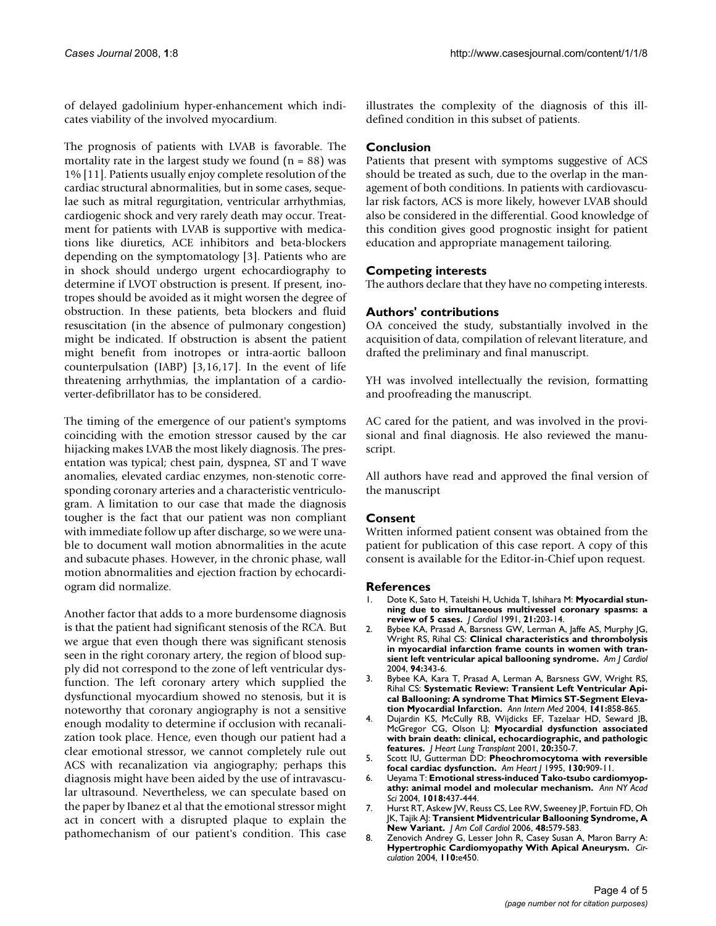of delayed gadolinium hyper-enhancement which indicates viability of the involved myocardium.

The prognosis of patients with LVAB is favorable. The mortality rate in the largest study we found  $(n = 88)$  was 1% [11]. Patients usually enjoy complete resolution of the cardiac structural abnormalities, but in some cases, sequelae such as mitral regurgitation, ventricular arrhythmias, cardiogenic shock and very rarely death may occur. Treatment for patients with LVAB is supportive with medications like diuretics, ACE inhibitors and beta-blockers depending on the symptomatology [3]. Patients who are in shock should undergo urgent echocardiography to determine if LVOT obstruction is present. If present, inotropes should be avoided as it might worsen the degree of obstruction. In these patients, beta blockers and fluid resuscitation (in the absence of pulmonary congestion) might be indicated. If obstruction is absent the patient might benefit from inotropes or intra-aortic balloon counterpulsation (IABP) [3,16,17]. In the event of life threatening arrhythmias, the implantation of a cardioverter-defibrillator has to be considered.

The timing of the emergence of our patient's symptoms coinciding with the emotion stressor caused by the car hijacking makes LVAB the most likely diagnosis. The presentation was typical; chest pain, dyspnea, ST and T wave anomalies, elevated cardiac enzymes, non-stenotic corresponding coronary arteries and a characteristic ventriculogram. A limitation to our case that made the diagnosis tougher is the fact that our patient was non compliant with immediate follow up after discharge, so we were unable to document wall motion abnormalities in the acute and subacute phases. However, in the chronic phase, wall motion abnormalities and ejection fraction by echocardiogram did normalize.

Another factor that adds to a more burdensome diagnosis is that the patient had significant stenosis of the RCA. But we argue that even though there was significant stenosis seen in the right coronary artery, the region of blood supply did not correspond to the zone of left ventricular dysfunction. The left coronary artery which supplied the dysfunctional myocardium showed no stenosis, but it is noteworthy that coronary angiography is not a sensitive enough modality to determine if occlusion with recanalization took place. Hence, even though our patient had a clear emotional stressor, we cannot completely rule out ACS with recanalization via angiography; perhaps this diagnosis might have been aided by the use of intravascular ultrasound. Nevertheless, we can speculate based on the paper by Ibanez et al that the emotional stressor might act in concert with a disrupted plaque to explain the pathomechanism of our patient's condition. This case illustrates the complexity of the diagnosis of this illdefined condition in this subset of patients.

# **Conclusion**

Patients that present with symptoms suggestive of ACS should be treated as such, due to the overlap in the management of both conditions. In patients with cardiovascular risk factors, ACS is more likely, however LVAB should also be considered in the differential. Good knowledge of this condition gives good prognostic insight for patient education and appropriate management tailoring.

# **Competing interests**

The authors declare that they have no competing interests.

### **Authors' contributions**

OA conceived the study, substantially involved in the acquisition of data, compilation of relevant literature, and drafted the preliminary and final manuscript.

YH was involved intellectually the revision, formatting and proofreading the manuscript.

AC cared for the patient, and was involved in the provisional and final diagnosis. He also reviewed the manuscript.

All authors have read and approved the final version of the manuscript

# **Consent**

Written informed patient consent was obtained from the patient for publication of this case report. A copy of this consent is available for the Editor-in-Chief upon request.

#### **References**

- 1. Dote K, Sato H, Tateishi H, Uchida T, Ishihara M: **[Myocardial stun](http://www.ncbi.nlm.nih.gov/entrez/query.fcgi?cmd=Retrieve&db=PubMed&dopt=Abstract&list_uids=1841907)[ning due to simultaneous multivessel coronary spasms: a](http://www.ncbi.nlm.nih.gov/entrez/query.fcgi?cmd=Retrieve&db=PubMed&dopt=Abstract&list_uids=1841907) [review of 5 cases.](http://www.ncbi.nlm.nih.gov/entrez/query.fcgi?cmd=Retrieve&db=PubMed&dopt=Abstract&list_uids=1841907)** *J Cardiol* 1991, **21:**203-14.
- 2. Bybee KA, Prasad A, Barsness GW, Lerman A, Jaffe AS, Murphy JG, Wright RS, Rihal CS: **[Clinical characteristics and thrombolysis](http://www.ncbi.nlm.nih.gov/entrez/query.fcgi?cmd=Retrieve&db=PubMed&dopt=Abstract&list_uids=15276100) [in myocardial infarction frame counts in women with tran](http://www.ncbi.nlm.nih.gov/entrez/query.fcgi?cmd=Retrieve&db=PubMed&dopt=Abstract&list_uids=15276100)[sient left ventricular apical ballooning syndrome.](http://www.ncbi.nlm.nih.gov/entrez/query.fcgi?cmd=Retrieve&db=PubMed&dopt=Abstract&list_uids=15276100)** *Am J Cardiol* 2004, **94:**343-6.
- 3. Bybee KA, Kara T, Prasad A, Lerman A, Barsness GW, Wright RS, Rihal CS: **[Systematic Review: Transient Left Ventricular Api](http://www.ncbi.nlm.nih.gov/entrez/query.fcgi?cmd=Retrieve&db=PubMed&dopt=Abstract&list_uids=15583228)[cal Ballooning: A syndrome That Mimics ST-Segment Eleva](http://www.ncbi.nlm.nih.gov/entrez/query.fcgi?cmd=Retrieve&db=PubMed&dopt=Abstract&list_uids=15583228)[tion Myocardial Infarction.](http://www.ncbi.nlm.nih.gov/entrez/query.fcgi?cmd=Retrieve&db=PubMed&dopt=Abstract&list_uids=15583228)** *Ann Intern Med* 2004, **141:**858-865.
- 4. Dujardin KS, McCully RB, Wijdicks EF, Tazelaar HD, Seward JB, McGregor CG, Olson LJ: **[Myocardial dysfunction associated](http://www.ncbi.nlm.nih.gov/entrez/query.fcgi?cmd=Retrieve&db=PubMed&dopt=Abstract&list_uids=11257562) [with brain death: clinical, echocardiographic, and pathologic](http://www.ncbi.nlm.nih.gov/entrez/query.fcgi?cmd=Retrieve&db=PubMed&dopt=Abstract&list_uids=11257562) [features.](http://www.ncbi.nlm.nih.gov/entrez/query.fcgi?cmd=Retrieve&db=PubMed&dopt=Abstract&list_uids=11257562)** *J Heart Lung Transplant* 2001, **20:**350-7.
- 5. Scott IU, Gutterman DD: **[Pheochromocytoma with reversible](http://www.ncbi.nlm.nih.gov/entrez/query.fcgi?cmd=Retrieve&db=PubMed&dopt=Abstract&list_uids=7572605) [focal cardiac dysfunction.](http://www.ncbi.nlm.nih.gov/entrez/query.fcgi?cmd=Retrieve&db=PubMed&dopt=Abstract&list_uids=7572605)** *Am Heart J* 1995, **130:**909-11.
- 6. Ueyama T: **[Emotional stress-induced Tako-tsubo cardiomyop](http://www.ncbi.nlm.nih.gov/entrez/query.fcgi?cmd=Retrieve&db=PubMed&dopt=Abstract&list_uids=15240400)[athy: animal model and molecular mechanism.](http://www.ncbi.nlm.nih.gov/entrez/query.fcgi?cmd=Retrieve&db=PubMed&dopt=Abstract&list_uids=15240400)** *Ann NY Acad Sci* 2004, **1018:**437-444.
- 7. Hurst RT, Askew JW, Reuss CS, Lee RW, Sweeney JP, Fortuin FD, Oh JK, Tajik AJ: **[Transient Midventricular Ballooning Syndrome, A](http://www.ncbi.nlm.nih.gov/entrez/query.fcgi?cmd=Retrieve&db=PubMed&dopt=Abstract&list_uids=16875987) [New Variant.](http://www.ncbi.nlm.nih.gov/entrez/query.fcgi?cmd=Retrieve&db=PubMed&dopt=Abstract&list_uids=16875987)** *J Am Coll Cardiol* 2006, **48:**579-583.
- 8. Zenovich Andrey G, Lesser John R, Casey Susan A, Maron Barry A: **[Hypertrophic Cardiomyopathy With Apical Aneurysm.](http://www.ncbi.nlm.nih.gov/entrez/query.fcgi?cmd=Retrieve&db=PubMed&dopt=Abstract&list_uids=15492326)** *Circulation* 2004, **110:**e450.